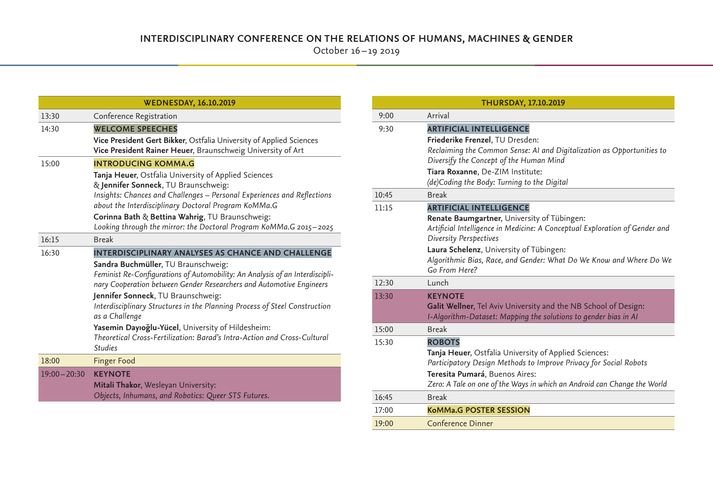October 16 – 19 2019

| <b>WEDNESDAY, 16.10.2019</b> |                                                                                                                                                                                                                                   |  |
|------------------------------|-----------------------------------------------------------------------------------------------------------------------------------------------------------------------------------------------------------------------------------|--|
| 13:30                        | Conference Registration                                                                                                                                                                                                           |  |
| 14:30                        | <b>WELCOME SPEECHES</b>                                                                                                                                                                                                           |  |
|                              | Vice President Gert Bikker, Ostfalia University of Applied Sciences<br>Vice President Rainer Heuer, Braunschweig University of Art                                                                                                |  |
| 15:00                        | <b>INTRODUCING KOMMA.G</b>                                                                                                                                                                                                        |  |
|                              | Tanja Heuer, Ostfalia University of Applied Sciences<br>& Jennifer Sonneck, TU Braunschweig:<br>Insights: Chances and Challenges - Personal Experiences and Reflections<br>about the Interdisciplinary Doctoral Program KoMMa.G   |  |
|                              | Corinna Bath & Bettina Wahrig, TU Braunschweig:<br>Looking through the mirror: the Doctoral Program KoMMa.G 2015-2025                                                                                                             |  |
| 16:15                        | <b>Break</b>                                                                                                                                                                                                                      |  |
| 16:30                        | <b>INTERDISCIPLINARY ANALYSES AS CHANCE AND CHALLENGE</b>                                                                                                                                                                         |  |
|                              | Sandra Buchmüller, TU Braunschweig:<br>Feminist Re-Configurations of Automobility: An Analysis of an Interdiscipli-<br>nary Cooperation between Gender Researchers and Automotive Engineers<br>Jennifer Sonneck, TU Braunschweig: |  |
|                              | Interdisciplinary Structures in the Planning Process of Steel Construction<br>as a Challenge                                                                                                                                      |  |
|                              | Yasemin Dayıoğlu-Yücel, University of Hildesheim:<br>Theoretical Cross-Fertilization: Barad's Intra-Action and Cross-Cultural<br><b>Studies</b>                                                                                   |  |
| 18:00                        | <b>Finger Food</b>                                                                                                                                                                                                                |  |
| $19:00 - 20:30$              | <b>KEYNOTE</b><br>Mitali Thakor, Wesleyan University:<br>Objects, Inhumans, and Robotics: Queer STS Futures.                                                                                                                      |  |

| <b>THURSDAY, 17.10.2019</b> |                                                                                                                                                                                                                                                           |  |
|-----------------------------|-----------------------------------------------------------------------------------------------------------------------------------------------------------------------------------------------------------------------------------------------------------|--|
| 9:00                        | Arrival                                                                                                                                                                                                                                                   |  |
| 9:30                        | <b>ARTIFICIAL INTELLIGENCE</b>                                                                                                                                                                                                                            |  |
|                             | Friederike Frenzel, TU Dresden:<br>Reclaiming the Common Sense: AI and Digitalization as Opportunities to<br>Diversify the Concept of the Human Mind                                                                                                      |  |
|                             | Tiara Roxanne, De-ZIM Institute:<br>(de)Coding the Body: Turning to the Digital                                                                                                                                                                           |  |
| 10:45                       | <b>Break</b>                                                                                                                                                                                                                                              |  |
| 11:15                       | <b>ARTIFICIAL INTELLIGENCE</b><br>Renate Baumgartner, University of Tübingen:<br>Artificial Intelligence in Medicine: A Conceptual Exploration of Gender and<br>Diversity Perspectives                                                                    |  |
|                             | Laura Schelenz, University of Tübingen:<br>Algorithmic Bias, Race, and Gender: What Do We Know and Where Do We<br>Go From Here?                                                                                                                           |  |
| 12:30                       | Lunch                                                                                                                                                                                                                                                     |  |
| 13:30                       | <b>KEYNOTE</b><br>Galit Wellner, Tel Aviv University and the NB School of Design:<br>I-Algorithm-Dataset: Mapping the solutions to gender bias in Al                                                                                                      |  |
| 15:00                       | <b>Break</b>                                                                                                                                                                                                                                              |  |
| 15:30                       | <b>ROBOTS</b><br>Tanja Heuer, Ostfalia University of Applied Sciences:<br>Participatory Design Methods to Improve Privacy for Social Robots<br>Teresita Pumará, Buenos Aires:<br>Zero: A Tale on one of the Ways in which an Android can Change the World |  |
| 16:45                       | <b>Break</b>                                                                                                                                                                                                                                              |  |
| 17:00                       | <b>KoMMa.G POSTER SESSION</b>                                                                                                                                                                                                                             |  |
| 19:00                       | Conference Dinner                                                                                                                                                                                                                                         |  |